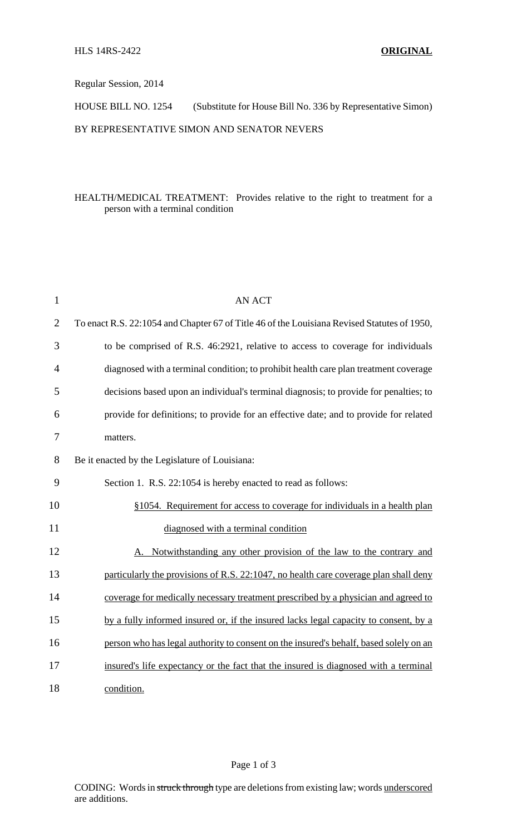Regular Session, 2014

HOUSE BILL NO. 1254 (Substitute for House Bill No. 336 by Representative Simon)

BY REPRESENTATIVE SIMON AND SENATOR NEVERS

## HEALTH/MEDICAL TREATMENT: Provides relative to the right to treatment for a person with a terminal condition

| $\mathbf{1}$   | <b>AN ACT</b>                                                                               |
|----------------|---------------------------------------------------------------------------------------------|
| $\overline{2}$ | To enact R.S. 22:1054 and Chapter 67 of Title 46 of the Louisiana Revised Statutes of 1950, |
| 3              | to be comprised of R.S. 46:2921, relative to access to coverage for individuals             |
| 4              | diagnosed with a terminal condition; to prohibit health care plan treatment coverage        |
| 5              | decisions based upon an individual's terminal diagnosis; to provide for penalties; to       |
| 6              | provide for definitions; to provide for an effective date; and to provide for related       |
| 7              | matters.                                                                                    |
| 8              | Be it enacted by the Legislature of Louisiana:                                              |
| 9              | Section 1. R.S. 22:1054 is hereby enacted to read as follows:                               |
| 10             | §1054. Requirement for access to coverage for individuals in a health plan                  |
| 11             | diagnosed with a terminal condition                                                         |
| 12             | Notwithstanding any other provision of the law to the contrary and                          |
| 13             | particularly the provisions of R.S. 22:1047, no health care coverage plan shall deny        |
| 14             | coverage for medically necessary treatment prescribed by a physician and agreed to          |
| 15             | by a fully informed insured or, if the insured lacks legal capacity to consent, by a        |
| 16             | person who has legal authority to consent on the insured's behalf, based solely on an       |
| 17             | insured's life expectancy or the fact that the insured is diagnosed with a terminal         |
| 18             | condition.                                                                                  |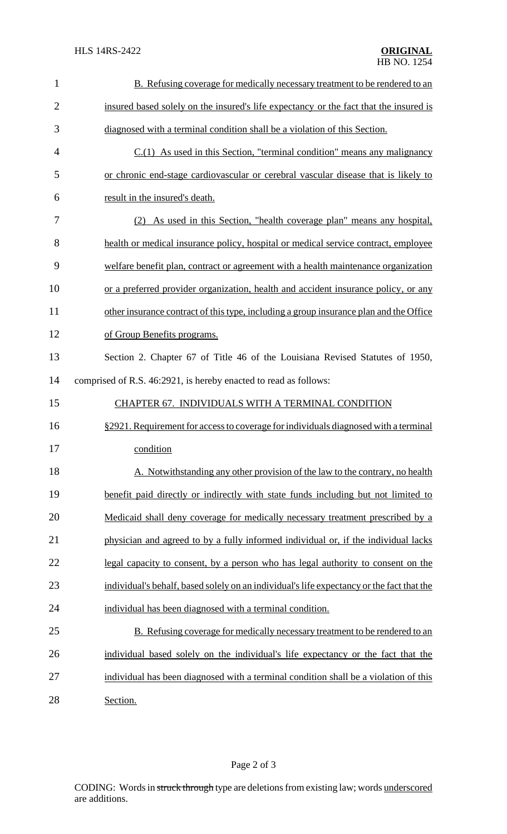| $\mathbf{1}$   | B. Refusing coverage for medically necessary treatment to be rendered to an               |
|----------------|-------------------------------------------------------------------------------------------|
| $\overline{2}$ | insured based solely on the insured's life expectancy or the fact that the insured is     |
| 3              | diagnosed with a terminal condition shall be a violation of this Section.                 |
| $\overline{4}$ | $C(1)$ As used in this Section, "terminal condition" means any malignancy                 |
| 5              | or chronic end-stage cardiovascular or cerebral vascular disease that is likely to        |
| 6              | result in the insured's death.                                                            |
| 7              | (2) As used in this Section, "health coverage plan" means any hospital,                   |
| 8              | health or medical insurance policy, hospital or medical service contract, employee        |
| 9              | welfare benefit plan, contract or agreement with a health maintenance organization        |
| 10             | or a preferred provider organization, health and accident insurance policy, or any        |
| 11             | other insurance contract of this type, including a group insurance plan and the Office    |
| 12             | of Group Benefits programs.                                                               |
| 13             | Section 2. Chapter 67 of Title 46 of the Louisiana Revised Statutes of 1950,              |
| 14             | comprised of R.S. 46:2921, is hereby enacted to read as follows:                          |
| 15             | CHAPTER 67. INDIVIDUALS WITH A TERMINAL CONDITION                                         |
| 16             | §2921. Requirement for access to coverage for individuals diagnosed with a terminal       |
| 17             | condition                                                                                 |
| 18             | A. Notwithstanding any other provision of the law to the contrary, no health              |
| 19             | benefit paid directly or indirectly with state funds including but not limited to         |
| 20             | Medicaid shall deny coverage for medically necessary treatment prescribed by a            |
| 21             | physician and agreed to by a fully informed individual or, if the individual lacks        |
| 22             | legal capacity to consent, by a person who has legal authority to consent on the          |
| 23             | individual's behalf, based solely on an individual's life expectancy or the fact that the |
| 24             | individual has been diagnosed with a terminal condition.                                  |
| 25             | B. Refusing coverage for medically necessary treatment to be rendered to an               |
| 26             | individual based solely on the individual's life expectancy or the fact that the          |
| 27             | individual has been diagnosed with a terminal condition shall be a violation of this      |
|                |                                                                                           |